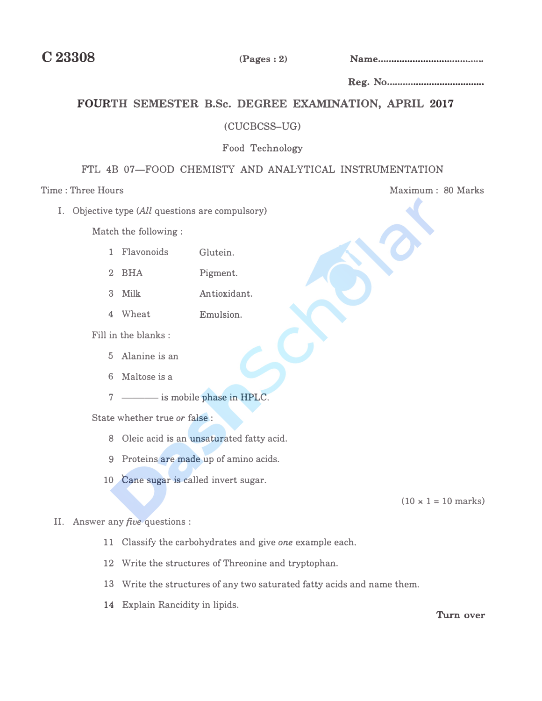**C23308 (Pages: 2) Name ....................................... .** 

**Reg. No ..•...............................•..** 

# FOURTH SEMESTER B.Sc. DEGREE EXAMINATION, APRIL 2017

## (CUCBCSS-UG)

## **Food Technology**

# FTL 4B 07-FOOD CHEMISTY AND ANALYTICAL INSTRUMENTATION

**I. Objective type (All questions are compulsory)**

**Match the following :** 

- **1 Flavonoids Glutein.**
- **<sup>2</sup>**BHA **Pigment.**
- 3 **Milk An tiox.idant.**
- **4 Wheat Emulsion.**

**Fill in the blanks :** 

- **<sup>5</sup>Alanine** is **an**
- <sup>6</sup>**Maltose** is **a**
- 7 —— is mobile phase in HPLC.

**State whether true** *or* **false :** 

- **8 Oleic acid** is **an unsaturated fatty acid.**
- **9 Proteins are made up of amino acids.**
- **10 Cane sugar is called invert sugar.**

 $(10 \times 1 = 10 \text{ marks})$ 

### **II. Answer any** *five* **questions :**

- **11 Classify the carbohydrates and give** *one* **example each.**
- **12 Write the structures of Threonine and tryptophan.**
- **13 Write the structures of any two saturated fatty acids and name them.**
- **14 Explain Rancidity in lipids.**

**Turn over** 

**Time : Three Hours 30 Marks**  $\frac{1}{2}$  Maximum : 80 Marks **Maximum : 80 Marks Maximum : 80 Marks Maximum : 80 Marks**